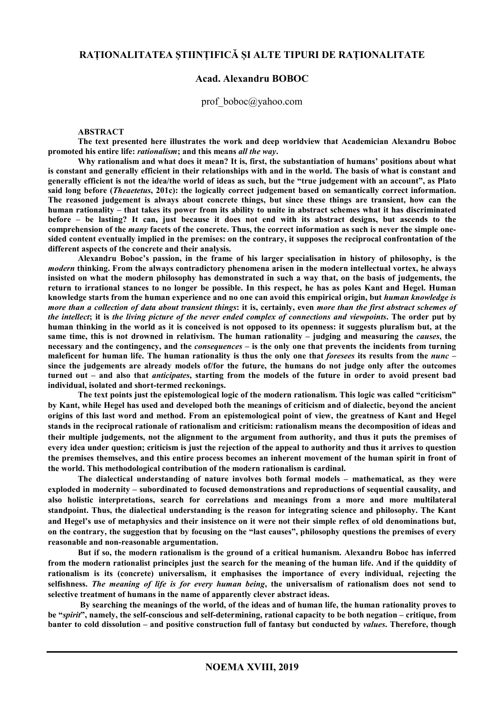## **RAȚIONALITATEA ȘTIINȚIFICĂ ȘI ALTE TIPURI DE RAȚIONALITATE**

### **Acad. Alexandru BOBOC**

### prof\_boboc@yahoo.com

**ABSTRACT** 

**The text presented here illustrates the work and deep worldview that Academician Alexandru Boboc promoted his entire life:** *rationalism***; and this means** *all the way***.** 

**Why rationalism and what does it mean? It is, first, the substantiation of humans' positions about what is constant and generally efficient in their relationships with and in the world. The basis of what is constant and generally efficient is not the idea/the world of ideas as such, but the "true judgement with an account", as Plato said long before (***Theaetetus***, 201c): the logically correct judgement based on semantically correct information. The reasoned judgement is always about concrete things, but since these things are transient, how can the human rationality – that takes its power from its ability to unite in abstract schemes what it has discriminated before – be lasting? It can, just because it does not end with its abstract designs, but ascends to the comprehension of the** *many* **facets of the concrete. Thus, the correct information as such is never the simple onesided content eventually implied in the premises: on the contrary, it supposes the reciprocal confrontation of the different aspects of the concrete and their analysis.** 

**Alexandru Boboc's passion, in the frame of his larger specialisation in history of philosophy, is the**  *modern* **thinking. From the always contradictory phenomena arisen in the modern intellectual vortex, he always insisted on what the modern philosophy has demonstrated in such a way that, on the basis of judgements, the return to irrational stances to no longer be possible. In this respect, he has as poles Kant and Hegel. Human knowledge starts from the human experience and no one can avoid this empirical origin, but** *human knowledge is more than a collection of data about transient things***: it is, certainly, even** *more than the first abstract schemes of the intellect***; it is** *the living picture of the never ended complex of connections and viewpoints***. The order put by human thinking in the world as it is conceived is not opposed to its openness: it suggests pluralism but, at the**  same time, this is not drowned in relativism. The human rationality – judging and measuring the *causes*, the **necessary and the contingency, and the** *consequences* **– is the only one that prevents the incidents from turning maleficent for human life. The human rationality is thus the only one that** *foresees* **its results from the** *nunc* **– since the judgements are already models of/for the future, the humans do not judge only after the outcomes turned out – and also that** *anticipates***, starting from the models of the future in order to avoid present bad individual, isolated and short-termed reckonings.** 

**The text points just the epistemological logic of the modern rationalism. This logic was called "criticism" by Kant, while Hegel has used and developed both the meanings of criticism and of dialectic, beyond the ancient origins of this last word and method. From an epistemological point of view, the greatness of Kant and Hegel stands in the reciprocal rationale of rationalism and criticism: rationalism means the decomposition of ideas and their multiple judgements, not the alignment to the argument from authority, and thus it puts the premises of every idea under question; criticism is just the rejection of the appeal to authority and thus it arrives to question the premises themselves, and this entire process becomes an inherent movement of the human spirit in front of the world. This methodological contribution of the modern rationalism is cardinal.** 

**The dialectical understanding of nature involves both formal models – mathematical, as they were exploded in modernity – subordinated to focused demonstrations and reproductions of sequential causality, and also holistic interpretations, search for correlations and meanings from a more and more multilateral standpoint. Thus, the dialectical understanding is the reason for integrating science and philosophy. The Kant and Hegel's use of metaphysics and their insistence on it were not their simple reflex of old denominations but, on the contrary, the suggestion that by focusing on the "last causes", philosophy questions the premises of every reasonable and non-reasonable argumentation.** 

**But if so, the modern rationalism is the ground of a critical humanism. Alexandru Boboc has inferred from the modern rationalist principles just the search for the meaning of the human life. And if the quiddity of rationalism is its (concrete) universalism, it emphasises the importance of every individual, rejecting the selfishness.** *The meaning of life is for every human being***, the universalism of rationalism does not send to selective treatment of humans in the name of apparently clever abstract ideas.** 

 **By searching the meanings of the world, of the ideas and of human life, the human rationality proves to be "***spirit***", namely, the self-conscious and self-determining, rational capacity to be both negation – critique, from banter to cold dissolution – and positive construction full of fantasy but conducted by** *values***. Therefore, though**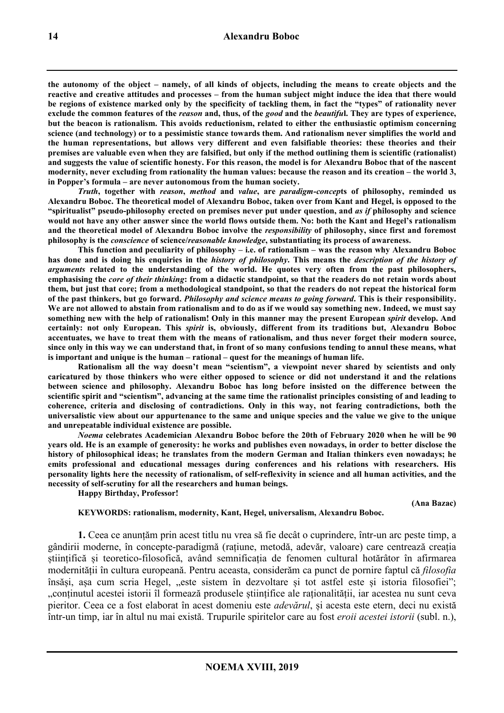**the autonomy of the object – namely, of all kinds of objects, including the means to create objects and the reactive and creative attitudes and processes – from the human subject might induce the idea that there would be regions of existence marked only by the specificity of tackling them, in fact the "types" of rationality never exclude the common features of the** *reason* **and, thus, of the** *good* **and the** *beautifu***l. They are types of experience, but the beacon is rationalism. This avoids reductionism, related to either the enthusiastic optimism concerning science (and technology) or to a pessimistic stance towards them. And rationalism never simplifies the world and the human representations, but allows very different and even falsifiable theories: these theories and their premises are valuable even when they are falsified, but only if the method outlining them is scientific (rationalist) and suggests the value of scientific honesty. For this reason, the model is for Alexandru Boboc that of the nascent modernity, never excluding from rationality the human values: because the reason and its creation – the world 3, in Popper's formula – are never autonomous from the human society.** 

*Truth***, together with** *reason***,** *method* **and** *value***, are** *paradigm-concep***ts of philosophy, reminded us Alexandru Boboc. The theoretical model of Alexandru Boboc, taken over from Kant and Hegel, is opposed to the "spiritualist" pseudo-philosophy erected on premises never put under question, and** *as if* **philosophy and science would not have any other answer since the world flows outside them. No: both the Kant and Hegel's rationalism and the theoretical model of Alexandru Boboc involve the** *responsibility* **of philosophy, since first and foremost philosophy is the** *conscience* **of science/***reasonable knowledge***, substantiating its process of awareness.** 

**This function and peculiarity of philosophy – i.e. of rationalism – was the reason why Alexandru Boboc has done and is doing his enquiries in the** *history of philosophy***. This means the** *description of the history of arguments* **related to the understanding of the world. He quotes very often from the past philosophers, emphasising the** *core of their thinking***: from a didactic standpoint, so that the readers do not retain words about them, but just that core; from a methodological standpoint, so that the readers do not repeat the historical form of the past thinkers, but go forward.** *Philosophy and science means to going forward***. This is their responsibility. We are not allowed to abstain from rationalism and to do as if we would say something new. Indeed, we must say something new with the help of rationalism! Only in this manner may the present European** *spirit* **develop. And certainly: not only European. This** *spirit* **is, obviously, different from its traditions but, Alexandru Boboc accentuates, we have to treat them with the means of rationalism, and thus never forget their modern source, since only in this way we can understand that, in front of so many confusions tending to annul these means, what is important and unique is the human – rational – quest for the meanings of human life.** 

**Rationalism all the way doesn't mean "scientism", a viewpoint never shared by scientists and only caricatured by those thinkers who were either opposed to science or did not understand it and the relations between science and philosophy. Alexandru Boboc has long before insisted on the difference between the scientific spirit and "scientism", advancing at the same time the rationalist principles consisting of and leading to coherence, criteria and disclosing of contradictions. Only in this way, not fearing contradictions, both the universalistic view about our appurtenance to the same and unique species and the value we give to the unique and unrepeatable individual existence are possible.**

*Noema* **celebrates Academician Alexandru Boboc before the 20th of February 2020 when he will be 90 years old. He is an example of generosity: he works and publishes even nowadays, in order to better disclose the history of philosophical ideas; he translates from the modern German and Italian thinkers even nowadays; he emits professional and educational messages during conferences and his relations with researchers. His personality lights here the necessity of rationalism, of self-reflexivity in science and all human activities, and the necessity of self-scrutiny for all the researchers and human beings.** 

**Happy Birthday, Professor!** 

**(Ana Bazac)** 

#### **KEYWORDS: rationalism, modernity, Kant, Hegel, universalism, Alexandru Boboc.**

**1.** Ceea ce anunțăm prin acest titlu nu vrea să fie decât o cuprindere, într-un arc peste timp, a gândirii moderne, în concepte-paradigmă (rațiune, metodă, adevăr, valoare) care centrează creația științifică și teoretico-filosofică, având semnificația de fenomen cultural hotărâtor în afirmarea modernității în cultura europeană. Pentru aceasta, considerăm ca punct de pornire faptul că *filosofia* însăși, așa cum scria Hegel, "este sistem în dezvoltare și tot astfel este și istoria filosofiei"; "conținutul acestei istorii îl formează produsele științifice ale raționalității, iar acestea nu sunt ceva pieritor. Ceea ce a fost elaborat în acest domeniu este *adevărul*, și acesta este etern, deci nu există într-un timp, iar în altul nu mai există. Trupurile spiritelor care au fost *eroii acestei istorii* (subl. n.),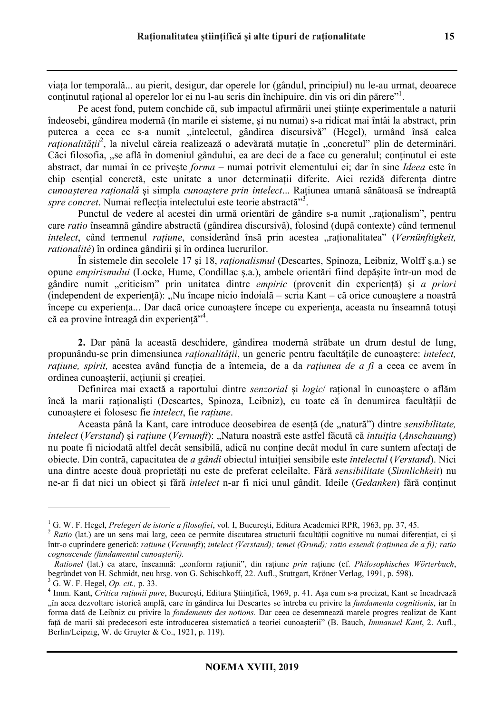viața lor temporală... au pierit, desigur, dar operele lor (gândul, principiul) nu le-au urmat, deoarece conținutul rațional al operelor lor ei nu l-au scris din închipuire, din vis ori din părere"<sup>1</sup>.

Pe acest fond, putem conchide că, sub impactul afirmării unei științe experimentale a naturii îndeosebi, gândirea modernă (în marile ei sisteme, și nu numai) s-a ridicat mai întâi la abstract, prin puterea a ceea ce s-a numit "intelectul, gândirea discursivă" (Hegel), urmând însă calea *raționalității*<sup>2</sup>, la nivelul căreia realizează o adevărată mutație în "concretul" plin de determinări. Căci filosofia, "se află în domeniul gândului, ea are deci de a face cu generalul; continutul ei este abstract, dar numai în ce privește *forma* – numai potrivit elementului ei; dar în sine *Ideea* este în chip esențial concretă, este unitate a unor determinații diferite. Aici rezidă diferența dintre *cunoașterea rațională* și simpla *cunoaștere prin intelect*... Rațiunea umană sănătoasă se îndreaptă *spre concret*. Numai reflecția intelectului este teorie abstractă"<sup>3</sup> .

Punctul de vedere al acestei din urmă orientări de gândire s-a numit "rationalism", pentru care *ratio* înseamnă gândire abstractă (gândirea discursivă), folosind (după contexte) când termenul *intelect*, când termenul *ratiune*, considerând însă prin acestea "raționalitatea" (*Vernünftigkeit*, *rationalité*) în ordinea gândirii și în ordinea lucrurilor.

În sistemele din secolele 17 și 18, *raționalismul* (Descartes, Spinoza, Leibniz, Wolff ș.a.) se opune *empirismului* (Locke, Hume, Condillac ș.a.), ambele orientări fiind depășite într-un mod de gândire numit "criticism" prin unitatea dintre *empiric* (provenit din experiență) și *a priori*  $($ independent de experiență $)$ : "Nu încape nicio îndoială – scria Kant – că orice cunoaștere a noastră începe cu experiența... Dar dacă orice cunoaștere începe cu experiența, aceasta nu înseamnă totuși că ea provine întreagă din experiență"<sup>4</sup>.

**2.** Dar până la această deschidere, gândirea modernă străbate un drum destul de lung, propunându-se prin dimensiunea *raționalității*, un generic pentru facultățile de cunoaștere: *intelect, rațiune, spirit,* acestea având funcția de a întemeia, de a da *rațiunea de a fi* a ceea ce avem în ordinea cunoașterii, acțiunii și creației.

Definirea mai exactă a raportului dintre *senzorial* și *logic*/ rațional în cunoaștere o aflăm încă la marii raționaliști (Descartes, Spinoza, Leibniz), cu toate că în denumirea facultății de cunoaștere ei folosesc fie *intelect*, fie *rațiune*.

Aceasta până la Kant, care introduce deosebirea de esentă (de "natură") dintre *sensibilitate*, *intelect* (*Verstand*) și *rațiune* (*Vernunft*): "Natura noastră este astfel făcută că *intuiția* (*Anschauung*) nu poate fi niciodată altfel decât sensibilă, adică nu conține decât modul în care suntem afectați de obiecte. Din contră, capacitatea de *a gândi* obiectul intuiției sensibile este *intelectul* (*Verstand*). Nici una dintre aceste două proprietăți nu este de preferat celeilalte. Fără *sensibilitate* (*Sinnlichkeit*) nu ne-ar fi dat nici un obiect și fără *intelect* n-ar fi nici unul gândit. Ideile (*Gedanken*) fără conținut

l

<sup>&</sup>lt;sup>1</sup> G. W. F. Hegel, *Prelegeri de istorie a filosofiei*, vol. I, București, Editura Academiei RPR, 1963, pp. 37, 45.

<sup>&</sup>lt;sup>2</sup> Ratio (lat.) are un sens mai larg, ceea ce permite discutarea structurii facultății cognitive nu numai diferențiat, ci și într-o cuprindere generică: *rațiune* (*Vernunft*); *intelect (Verstand); temei (Grund); ratio essendi (rațiunea de a fi); ratio cognoscende (fundamentul cunoașterii).* 

*Rationel* (lat.) ca atare, înseamnă: "conform rațiunii", din rațiune *prin* rațiune (cf. *Philosophisches Wörterbuch*, begründet von H. Schmidt, neu hrsg. von G. Schischkoff, 22. Aufl., Stuttgart, Kröner Verlag, 1991, p. 598). 3 G. W. F. Hegel, *Op. cit.,* p. 33.

<sup>4</sup> Imm. Kant, *Critica rațiunii pure*, București, Editura Științifică, 1969, p. 41. Așa cum s-a precizat, Kant se încadrează "în acea dezvoltare istorică amplă, care în gândirea lui Descartes se întreba cu privire la *fundamenta cognitionis*, iar în forma dată de Leibniz cu privire la *fondements des notions.* Dar ceea ce desemnează marele progres realizat de Kant față de marii săi predecesori este introducerea sistematică a teoriei cunoașterii" (B. Bauch, *Immanuel Kant*, 2. Aufl., Berlin/Leipzig, W. de Gruyter & Co., 1921, p. 119).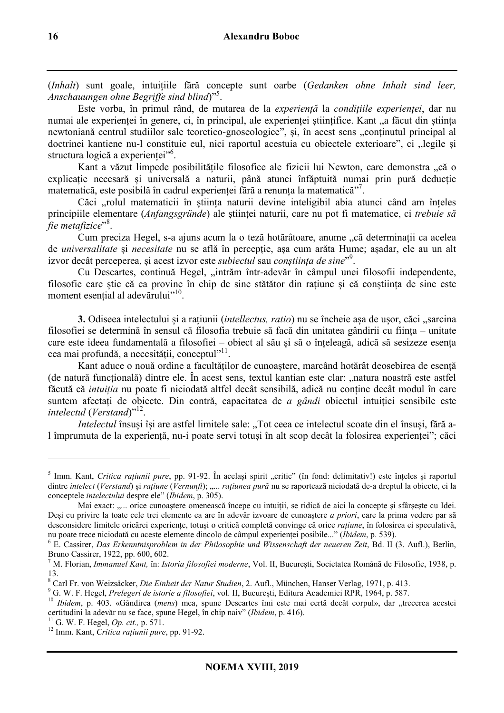(*Inhalt*) sunt goale, intuițiile fără concepte sunt oarbe (*Gedanken ohne Inhalt sind leer, Anschauungen ohne Begriffe sind blind*)"<sup>5</sup> .

Este vorba, în primul rând, de mutarea de la *experiență* la *condițiile experienței*, dar nu numai ale experienței în genere, ci, în principal, ale experienței științifice. Kant "a făcut din știința newtoniană centrul studiilor sale teoretico-gnoseologice", și, în acest sens "conținutul principal al doctrinei kantiene nu-l constituie eul, nici raportul acestuia cu obiectele exterioare", ci "legile și structura logică a experienței"<sup>6</sup>.

Kant a văzut limpede posibilitățile filosofice ale fizicii lui Newton, care demonstra "că o explicație necesară și universală a naturii, până atunci înfăptuită numai prin pură deducție matematică, este posibilă în cadrul experienței fără a renunța la matematică"<sup>7</sup> .

Căci ..rolul matematicii în știința naturii devine inteligibil abia atunci când am înțeles principiile elementare (*Anfangsgründe*) ale științei naturii, care nu pot fi matematice, ci *trebuie să fie metafizice*" 8 .

Cum preciza Hegel, s-a ajuns acum la o teză hotărâtoare, anume "că determinații ca acelea de *universalitate* și *necesitate* nu se află în percepție, așa cum arăta Hume; așadar, ele au un alt izvor decât perceperea, și acest izvor este *subiectul* sau *conștiința de sine*" 9 .

Cu Descartes, continuă Hegel, "intrăm într-adevăr în câmpul unei filosofii independente, filosofie care știe că ea provine în chip de sine stătător din rațiune și că conștiința de sine este moment esențial al adevărului"<sup>10</sup>.

**3.** Odiseea intelectului și a rațiunii (*intellectus, ratio*) nu se încheie așa de ușor, căci "sarcina filosofiei se determină în sensul că filosofia trebuie să facă din unitatea gândirii cu ființa – unitate care este ideea fundamentală a filosofiei – obiect al său și să o înțeleagă, adică să sesizeze esența cea mai profundă, a necesității, conceptul<sup>11</sup>.

Kant aduce o nouă ordine a facultăților de cunoaștere, marcând hotărât deosebirea de esență (de natură funcțională) dintre ele. În acest sens, textul kantian este clar: "natura noastră este astfel făcută că *intuiția* nu poate fi niciodată altfel decât sensibilă, adică nu conține decât modul în care suntem afectați de obiecte. Din contră, capacitatea de *a gândi* obiectul intuiției sensibile este intelectul (Verstand)"<sup>12</sup>.

*Intelectul* însuși își are astfel limitele sale: "Tot ceea ce intelectul scoate din el însuși, fără al împrumuta de la experiență, nu-i poate servi totuși în alt scop decât la folosirea experienței"; căci

l

<sup>&</sup>lt;sup>5</sup> Imm. Kant, *Critica rațiunii pure*, pp. 91-92. În același spirit "critic" (în fond: delimitativ!) este înțeles și raportul dintre *intelect* (*Verstand*) și *rațiune* (*Vernunft*); "... *rațiunea pură* nu se raportează niciodată de-a dreptul la obiecte, ci la conceptele *intelectului* despre ele" (*Ibidem*, p. 305).

Mai exact: ..... orice cunoaștere omenească începe cu intuiții, se ridică de aici la concepte și sfârșește cu Idei. Deși cu privire la toate cele trei elemente ea are în adevăr izvoare de cunoaștere *a priori*, care la prima vedere par să desconsidere limitele oricărei experiențe, totuși o critică completă convinge că orice *rațiune*, în folosirea ei speculativă, nu poate trece niciodată cu aceste elemente dincolo de câmpul experienței posibile..." (*Ibidem*, p. 539).

<sup>6</sup> E. Cassirer, *Das Erkenntnisproblem in der Philosophie und Wissenschaft der neueren Zeit*, Bd. II (3. Aufl.), Berlin, Bruno Cassirer, 1922, pp. 600, 602.

<sup>7</sup> M. Florian, *Immanuel Kant,* în: *Istoria filosofiei moderne*, Vol. II, București, Societatea Română de Filosofie, 1938, p. 13.

<sup>8</sup> Carl Fr. von Weizsäcker, *Die Einheit der Natur Studien*, 2. Aufl., München, Hanser Verlag, 1971, p. 413.

<sup>9</sup> G. W. F. Hegel, *Prelegeri de istorie a filosofiei*, vol. II, București, Editura Academiei RPR, 1964, p. 587.

<sup>&</sup>lt;sup>10</sup> *Ibidem*, p. 403. «Gândirea (*mens*) mea, spune Descartes îmi este mai certă decât corpul», dar "trecerea acestei certitudini la adevăr nu se face, spune Hegel, în chip naiv" (*Ibidem*, p. 416).

<sup>11</sup> G. W. F. Hegel, *Op. cit.,* p. 571.

<sup>12</sup> Imm. Kant, *Critica rațiunii pure*, pp. 91-92.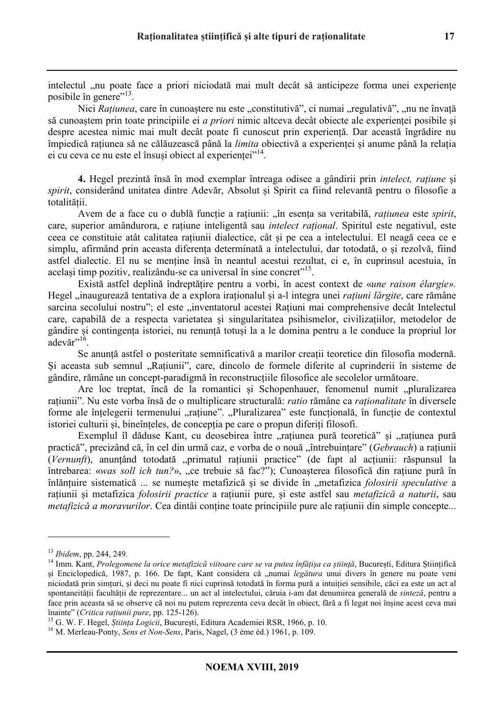intelectul "nu poate face a priori niciodată mai mult decât să anticipeze forma unei experiențe posibile în genere"<sup>13</sup>.

Nici *Rațiunea*, care în cunoaștere nu este "constitutivă", ci numai "regulativă", "nu ne învață să cunoaștem prin toate principiile ei *a priori* nimic altceva decât obiecte ale experienței posibile și despre acestea nimic mai mult decât poate fi cunoscut prin experiență. Dar această îngrădire nu împiedică rațiunea să ne călăuzească până la *limita* obiectivă a experienței și anume până la relația ei cu ceva ce nu este el însuși obiect al experienței"<sup>14</sup>.

**4.** Hegel prezintă însă în mod exemplar întreaga odisee a gândirii prin *intelect, rațiune* și *spirit*, considerând unitatea dintre Adevăr, Absolut și Spirit ca fiind relevantă pentru o filosofie a totalității.

Avem de a face cu o dublă funcție a rațiunii: "în esența sa veritabilă, *rațiunea* este *spirit*, care, superior amândurora, e rațiune inteligentă sau *intelect rațional*. Spiritul este negativul, este ceea ce constituie atât calitatea rațiunii dialectice, cât și pe cea a intelectului. El neagă ceea ce e simplu, afirmând prin aceasta diferența determinată a intelectului, dar totodată, o și rezolvă, fiind astfel dialectic. El nu se menține însă în neantul acestui rezultat, ci e, în cuprinsul acestuia, în același timp pozitiv, realizându-se ca universal în sine concret"<sup>15</sup>.

Există astfel deplină îndreptățire pentru a vorbi, în acest context de «*une raison élargie».*  Hegel "inaugurează tentativa de a explora iraționalul și a-l integra unei *rațiuni lărgite*, care rămâne sarcina secolului nostru"; el este "inventatorul acestei Rațiuni mai comprehensive decât Intelectul care, capabilă de a respecta varietatea și singularitatea psihismelor, civilizațiilor, metodelor de gândire și contingența istoriei, nu renunță totuși la a le domina pentru a le conduce la propriul lor  $\alpha$ devăr"<sup>16</sup>.

Se anunță astfel o posteritate semnificativă a marilor creații teoretice din filosofia modernă. Și aceasta sub semnul "Rațiunii", care, dincolo de formele diferite al cuprinderii în sisteme de gândire, rămâne un concept-paradigmă în reconstrucțiile filosofice ale secolelor următoare.

Are loc treptat, încă de la romantici și Schopenhauer, fenomenul numit "pluralizarea rațiunii". Nu este vorba însă de o multiplicare structurală: *ratio* rămâne ca *raționalitate* în diversele forme ale înțelegerii termenului "rațiune". "Pluralizarea" este funcțională, în funcție de contextul istoriei culturii și, bineînțeles, de concepția pe care o propun diferiți filosofi.

Exemplul îl dăduse Kant, cu deosebirea între "rațiunea pură teoretică" și "rațiunea pură practică", precizând că, în cel din urmă caz, e vorba de o nouă "întrebuințare" (*Gebrauch*) a rațiunii (*Vernunft*), anunțând totodată "primatul rațiunii practice" (de fapt al acțiunii: răspunsul la întrebarea: «*was soll ich tun?*», "ce trebuie să fac?"); Cunoașterea filosofică din rațiune pură în înlănțuire sistematică ... se numește metafizică și se divide în "metafizica *folosirii speculative* a rațiunii și metafizica *folosirii practice* a rațiunii pure, și este astfel sau *metafizică a naturii*, sau *metafizică a moravurilor*. Cea dintâi contine toate principiile pure ale rațiunii din simple concepte...

 $\overline{a}$ 

<sup>13</sup> *Ibidem*, pp. 244, 249.

<sup>&</sup>lt;sup>14</sup> Imm. Kant, *Prolegomene la orice metafizică viitoare care se va putea înfățișa ca știință*, București, Editura Științifică și Enciclopedică, 1987, p. 166. De fapt, Kant considera că "numai *legătura* unui divers în genere nu poate veni niciodată prin simțuri, și deci nu poate fi nici cuprinsă totodată în forma pură a intuiției sensibile, căci ea este un act al spontaneității facultății de reprezentare... un act al intelectului, căruia i-am dat denumirea generală de *sinteză*, pentru a face prin aceasta să se observe că noi nu putem reprezenta ceva decât în obiect, fără a fi legat noi înșine acest ceva mai înainte" (*Critica rațiunii pure*, pp. 125-126).

<sup>15</sup> G. W. F. Hegel, *Știința Logicii*, București, Editura Academiei RSR, 1966, p. 10.

<sup>16</sup> M. Merleau-Ponty, *Sens et Non-Sens*, Paris, Nagel, (3 ème éd.) 1961, p. 109.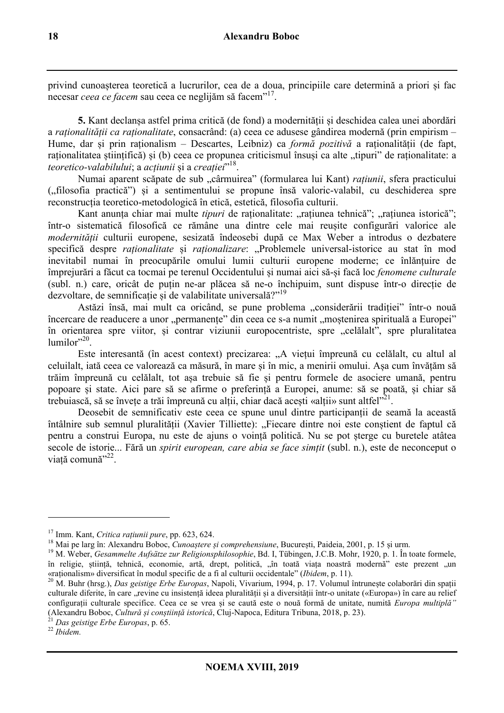privind cunoașterea teoretică a lucrurilor, cea de a doua, principiile care determină a priori și fac necesar *ceea ce facem* sau ceea ce neglijăm să facem<sup>"17</sup>.

**5.** Kant declanșa astfel prima critică (de fond) a modernității și deschidea calea unei abordări a *raționalității ca raționalitate*, consacrând: (a) ceea ce adusese gândirea modernă (prin empirism – Hume, dar și prin raționalism – Descartes, Leibniz) ca *formă pozitivă* a raționalității (de fapt, raționalitatea științifică) și (b) ceea ce propunea criticismul însuși ca alte "tipuri" de raționalitate: a *teoretico-valabilului*; a *acțiunii* și a *creației*" 18 .

Numai aparent scăpate de sub "cârmuirea" (formularea lui Kant) *rațiunii*, sfera practicului ("filosofia practică") și a sentimentului se propune însă valoric-valabil, cu deschiderea spre reconstrucția teoretico-metodologică în etică, estetică, filosofia culturii.

Kant anunța chiar mai multe *tipuri* de raționalitate: "rațiunea tehnică"; "rațiunea istorică"; într-o sistematică filosofică ce rămâne una dintre cele mai reușite configurări valorice ale *modernității* culturii europene, sesizată îndeosebi după ce Max Weber a introdus o dezbatere specifică despre *raționalitate* și *raționalizare*: "Problemele universal-istorice au stat în mod inevitabil numai în preocupările omului lumii culturii europene moderne; ce înlănțuire de împrejurări a făcut ca tocmai pe terenul Occidentului și numai aici să-și facă loc *fenomene culturale* (subl. n.) care, oricât de puțin ne-ar plăcea să ne-o închipuim, sunt dispuse într-o direcție de dezvoltare, de semnificație și de valabilitate universală?"<sup>19</sup>

Astăzi însă, mai mult ca oricând, se pune problema "considerării tradiției" într-o nouă încercare de readucere a unor "permanențe" din ceea ce s-a numit "moștenirea spirituală a Europei" în orientarea spre viitor, și contrar viziunii europocentriste, spre "celălalt", spre pluralitatea lumilor"<sup>20</sup>.

Este interesantă (în acest context) precizarea: "A viețui împreună cu celălalt, cu altul al celuilalt, iată ceea ce valorează ca măsură, în mare și în mic, a menirii omului. Așa cum învățăm să trăim împreună cu celălalt, tot așa trebuie să fie și pentru formele de asociere umană, pentru popoare și state. Aici pare să se afirme o preferință a Europei, anume: să se poată, și chiar să trebuiască, să se învețe a trăi împreună cu alții, chiar dacă acești «alții» sunt altfel $121$ .

Deosebit de semnificativ este ceea ce spune unul dintre participanții de seamă la această întâlnire sub semnul pluralității (Xavier Tilliette): "Fiecare dintre noi este conștient de faptul că pentru a construi Europa, nu este de ajuns o voință politică. Nu se pot șterge cu buretele atâtea secole de istorie... Fără un *spirit european, care abia se face simțit* (subl. n.), este de neconceput o viață comună<sup>"22</sup>.

l

<sup>17</sup> Imm. Kant, *Critica rațiunii pure*, pp. 623, 624.

<sup>18</sup> Mai pe larg în: Alexandru Boboc, *Cunoaștere și comprehensiune*, București, Paideia, 2001, p. 15 și urm.

<sup>19</sup> M. Weber, *Gesammelte Aufsätze zur Religionsphilosophie*, Bd. I, Tübingen, J.C.B. Mohr, 1920, p. 1. În toate formele, în religie, știință, tehnică, economie, artă, drept, politică, "în toată viața noastră modernă" este prezent "un «raționalism» diversificat în modul specific de a fi al culturii occidentale" (*Ibidem*, p. 11).

<sup>20</sup> M. Buhr (hrsg.), *Das geistige Erbe Europas*, Napoli, Vivarium, 1994, p. 17. Volumul întrunește colaborări din spații culturale diferite, în care "revine cu insistență ideea pluralității și a diversității într-o unitate («Europa») în care au relief configurații culturale specifice. Ceea ce se vrea și se caută este o nouă formă de unitate, numită *Europa multiplă"*  (Alexandru Boboc, *Cultură și conștiință istorică*, Cluj-Napoca, Editura Tribuna, 2018, p. 23).

<sup>21</sup> *Das geistige Erbe Europas*, p. 65.

<sup>22</sup> *Ibidem.*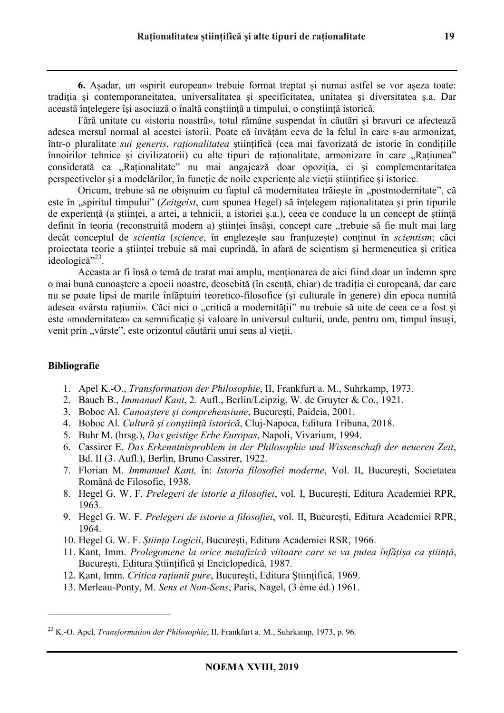**6.** Așadar, un «spirit european» trebuie format treptat și numai astfel se vor așeza toate: tradiția și contemporaneitatea, universalitatea și specificitatea, unitatea și diversitatea ș.a. Dar această înțelegere își asociază o înaltă conștiință a timpului, o conștiință istorică.

Fără unitate cu «istoria noastră», totul rămâne suspendat în căutări și bravuri ce afectează adesea mersul normal al acestei istorii. Poate că învățăm ceva de la felul în care s-au armonizat, într-o pluralitate *sui generis*, *raționalitatea* științifică (cea mai favorizată de istorie în condițiile înnoirilor tehnice și civilizatorii) cu alte tipuri de raționalitate, armonizare în care "Rațiunea" considerată ca "Raționalitate" nu mai angajează doar opoziția, ci și complementaritatea perspectivelor și a modelărilor, în funcție de noile experiențe ale vieții științifice și istorice.

Oricum, trebuie să ne obișnuim cu faptul că modernitatea trăiește în "postmodernitate", că este în "spiritul timpului" (*Zeitgeist*, cum spunea Hegel) să înțelegem raționalitatea și prin tipurile de experiență (a științei, a artei, a tehnicii, a istoriei ș.a.), ceea ce conduce la un concept de știință definit în teoria (reconstruită modern a) științei însăși, concept care "trebuie să fie mult mai larg decât conceptul de *scientia* (*science*, în englezește sau franțuzește) conținut în *scientism*; căci proiectata teorie a științei trebuie să mai cuprindă, în afară de scientism și hermeneutica și critica ideologică<sup>"23</sup>.

Aceasta ar fi însă o temă de tratat mai amplu, menționarea de aici fiind doar un îndemn spre o mai bună cunoaștere a epocii noastre, deosebită (în esență, chiar) de tradiția ei europeană, dar care nu se poate lipsi de marile înfăptuiri teoretico-filosofice (și culturale în genere) din epoca numită adesea «vârsta rațiunii». Căci nici o "critică a modernității" nu trebuie să uite de ceea ce a fost și este «modernitatea» ca semnificație și valoare în universul culturii, unde, pentru om, timpul însuși, venit prin "vârste", este orizontul căutării unui sens al vieții.

# **Bibliografie**

 $\overline{a}$ 

- 1. Apel K.-O., *Transformation der Philosophie*, II, Frankfurt a. M., Suhrkamp, 1973.
- 2. Bauch B., *Immanuel Kant*, 2. Aufl., Berlin/Leipzig, W. de Gruyter & Co., 1921.
- 3. Boboc Al. *Cunoaștere și comprehensiune*, București, Paideia, 2001.
- 4. Boboc Al. *Cultură și conștiință istorică*, Cluj-Napoca, Editura Tribuna, 2018.
- 5. Buhr M. (hrsg.), *Das geistige Erbe Europas*, Napoli, Vivarium, 1994.
- 6. Cassirer E. *Das Erkenntnisproblem in der Philosophie und Wissenschaft der neueren Zeit*, Bd. II (3. Aufl.), Berlin, Bruno Cassirer, 1922.
- 7. Florian M. *Immanuel Kant,* în: *Istoria filosofiei moderne*, Vol. II, București, Societatea Română de Filosofie, 1938.
- 8. Hegel G. W. F. *Prelegeri de istorie a filosofiei*, vol. I, București, Editura Academiei RPR, 1963.
- 9. Hegel G. W. F. *Prelegeri de istorie a filosofiei*, vol. II, București, Editura Academiei RPR, 1964.
- 10. Hegel G. W. F. *Știința Logicii*, București, Editura Academiei RSR, 1966.
- 11. Kant, Imm. *Prolegomene la orice metafizică viitoare care se va putea înfățișa ca știință*, București, Editura Științifică și Enciclopedică, 1987.
- 12. Kant, Imm. *Critica rațiunii pure*, București, Editura Științifică, 1969.
- 13. Merleau-Ponty, M. *Sens et Non-Sens*, Paris, Nagel, (3 ème éd.) 1961.

<sup>23</sup> K.-O. Apel, *Transformation der Philosophie*, II, Frankfurt a. M., Suhrkamp, 1973, p. 96.